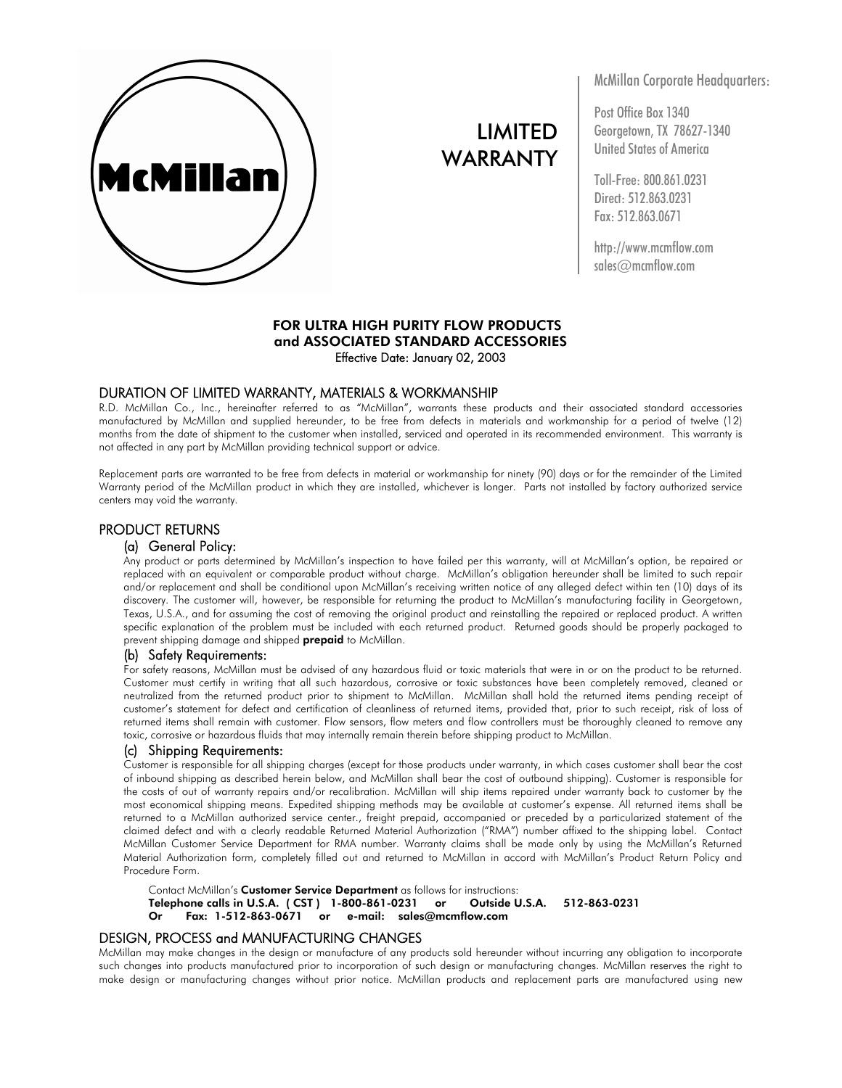

# LIMITED WARRANTY

McMillan Corporate Headquarters:

Post Office Box 1340 Georgetown, TX 78627-1340 United States of America

Toll-Free: 800.861.0231 Direct: 512.863.0231 Fax: 512.863.0671

http://www.mcmflow.com sales@mcmflow.com

# FOR ULTRA HIGH PURITY FLOW PRODUCTS and ASSOCIATED STANDARD ACCESSORIES Effective Date: January 02, 2003

#### DURATION OF LIMITED WARRANTY, MATERIALS & WORKMANSHIP

R.D. McMillan Co., Inc., hereinafter referred to as "McMillan", warrants these products and their associated standard accessories manufactured by McMillan and supplied hereunder, to be free from defects in materials and workmanship for a period of twelve (12) months from the date of shipment to the customer when installed, serviced and operated in its recommended environment. This warranty is not affected in any part by McMillan providing technical support or advice.

Replacement parts are warranted to be free from defects in material or workmanship for ninety (90) days or for the remainder of the Limited Warranty period of the McMillan product in which they are installed, whichever is longer. Parts not installed by factory authorized service centers may void the warranty.

# PRODUCT RETURNS

#### (a) General Policy:

Any product or parts determined by McMillan's inspection to have failed per this warranty, will at McMillan's option, be repaired or replaced with an equivalent or comparable product without charge. McMillan's obligation hereunder shall be limited to such repair and/or replacement and shall be conditional upon McMillan's receiving written notice of any alleged defect within ten (10) days of its discovery. The customer will, however, be responsible for returning the product to McMillan's manufacturing facility in Georgetown, Texas, U.S.A., and for assuming the cost of removing the original product and reinstalling the repaired or replaced product. A written specific explanation of the problem must be included with each returned product. Returned goods should be properly packaged to prevent shipping damage and shipped **prepaid** to McMillan.

#### (b) Safety Requirements:

For safety reasons, McMillan must be advised of any hazardous fluid or toxic materials that were in or on the product to be returned. Customer must certify in writing that all such hazardous, corrosive or toxic substances have been completely removed, cleaned or neutralized from the returned product prior to shipment to McMillan. McMillan shall hold the returned items pending receipt of customer's statement for defect and certification of cleanliness of returned items, provided that, prior to such receipt, risk of loss of returned items shall remain with customer. Flow sensors, flow meters and flow controllers must be thoroughly cleaned to remove any toxic, corrosive or hazardous fluids that may internally remain therein before shipping product to McMillan.

#### (c) Shipping Requirements:

Customer is responsible for all shipping charges (except for those products under warranty, in which cases customer shall bear the cost of inbound shipping as described herein below, and McMillan shall bear the cost of outbound shipping). Customer is responsible for the costs of out of warranty repairs and/or recalibration. McMillan will ship items repaired under warranty back to customer by the most economical shipping means. Expedited shipping methods may be available at customer's expense. All returned items shall be returned to a McMillan authorized service center., freight prepaid, accompanied or preceded by a particularized statement of the claimed defect and with a clearly readable Returned Material Authorization ("RMA") number affixed to the shipping label. Contact McMillan Customer Service Department for RMA number. Warranty claims shall be made only by using the McMillan's Returned Material Authorization form, completely filled out and returned to McMillan in accord with McMillan's Product Return Policy and Procedure Form.

Contact McMillan's Customer Service Department as follows for instructions: Telephone calls in U.S.A. ( CST ) 1-800-861-0231 or Outside U.S.A. 512-863-0231 Or Fax: 1-512-863-0671 or e-mail: sales@mcmflow.com

# DESIGN, PROCESS and MANUFACTURING CHANGES

McMillan may make changes in the design or manufacture of any products sold hereunder without incurring any obligation to incorporate such changes into products manufactured prior to incorporation of such design or manufacturing changes. McMillan reserves the right to make design or manufacturing changes without prior notice. McMillan products and replacement parts are manufactured using new